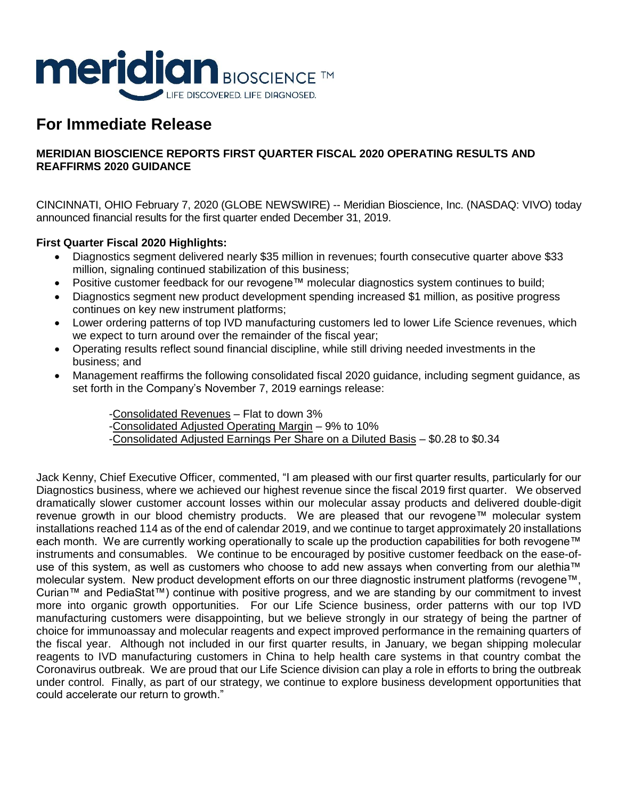

# **For Immediate Release**

### **MERIDIAN BIOSCIENCE REPORTS FIRST QUARTER FISCAL 2020 OPERATING RESULTS AND REAFFIRMS 2020 GUIDANCE**

CINCINNATI, OHIO February 7, 2020 (GLOBE NEWSWIRE) -- Meridian Bioscience, Inc. (NASDAQ: VIVO) today announced financial results for the first quarter ended December 31, 2019.

### **First Quarter Fiscal 2020 Highlights:**

- Diagnostics segment delivered nearly \$35 million in revenues; fourth consecutive quarter above \$33 million, signaling continued stabilization of this business;
- Positive customer feedback for our revogene™ molecular diagnostics system continues to build;
- Diagnostics segment new product development spending increased \$1 million, as positive progress continues on key new instrument platforms;
- Lower ordering patterns of top IVD manufacturing customers led to lower Life Science revenues, which we expect to turn around over the remainder of the fiscal year;
- Operating results reflect sound financial discipline, while still driving needed investments in the business; and
- Management reaffirms the following consolidated fiscal 2020 guidance, including segment guidance, as set forth in the Company's November 7, 2019 earnings release:

-Consolidated Revenues – Flat to down 3%

-Consolidated Adjusted Operating Margin – 9% to 10%

-Consolidated Adjusted Earnings Per Share on a Diluted Basis – \$0.28 to \$0.34

Jack Kenny, Chief Executive Officer, commented, "I am pleased with our first quarter results, particularly for our Diagnostics business, where we achieved our highest revenue since the fiscal 2019 first quarter. We observed dramatically slower customer account losses within our molecular assay products and delivered double-digit revenue growth in our blood chemistry products. We are pleased that our revogene™ molecular system installations reached 114 as of the end of calendar 2019, and we continue to target approximately 20 installations each month. We are currently working operationally to scale up the production capabilities for both revogene™ instruments and consumables. We continue to be encouraged by positive customer feedback on the ease-ofuse of this system, as well as customers who choose to add new assays when converting from our alethia™ molecular system. New product development efforts on our three diagnostic instrument platforms (revogene™, Curian™ and PediaStat™) continue with positive progress, and we are standing by our commitment to invest more into organic growth opportunities. For our Life Science business, order patterns with our top IVD manufacturing customers were disappointing, but we believe strongly in our strategy of being the partner of choice for immunoassay and molecular reagents and expect improved performance in the remaining quarters of the fiscal year. Although not included in our first quarter results, in January, we began shipping molecular reagents to IVD manufacturing customers in China to help health care systems in that country combat the Coronavirus outbreak. We are proud that our Life Science division can play a role in efforts to bring the outbreak under control. Finally, as part of our strategy, we continue to explore business development opportunities that could accelerate our return to growth."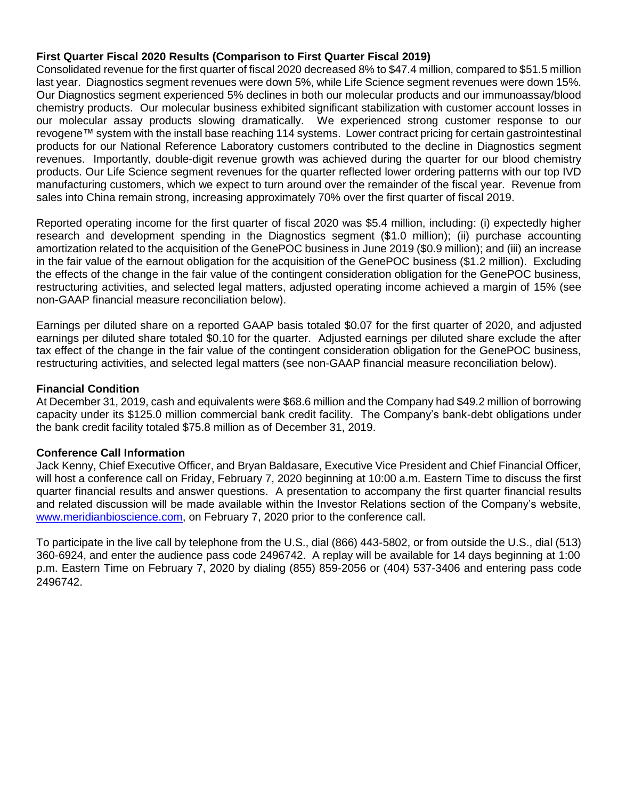### **First Quarter Fiscal 2020 Results (Comparison to First Quarter Fiscal 2019)**

Consolidated revenue for the first quarter of fiscal 2020 decreased 8% to \$47.4 million, compared to \$51.5 million last year. Diagnostics segment revenues were down 5%, while Life Science segment revenues were down 15%. Our Diagnostics segment experienced 5% declines in both our molecular products and our immunoassay/blood chemistry products. Our molecular business exhibited significant stabilization with customer account losses in our molecular assay products slowing dramatically. We experienced strong customer response to our revogene™ system with the install base reaching 114 systems. Lower contract pricing for certain gastrointestinal products for our National Reference Laboratory customers contributed to the decline in Diagnostics segment revenues. Importantly, double-digit revenue growth was achieved during the quarter for our blood chemistry products. Our Life Science segment revenues for the quarter reflected lower ordering patterns with our top IVD manufacturing customers, which we expect to turn around over the remainder of the fiscal year. Revenue from sales into China remain strong, increasing approximately 70% over the first quarter of fiscal 2019.

Reported operating income for the first quarter of fiscal 2020 was \$5.4 million, including: (i) expectedly higher research and development spending in the Diagnostics segment (\$1.0 million); (ii) purchase accounting amortization related to the acquisition of the GenePOC business in June 2019 (\$0.9 million); and (iii) an increase in the fair value of the earnout obligation for the acquisition of the GenePOC business (\$1.2 million). Excluding the effects of the change in the fair value of the contingent consideration obligation for the GenePOC business, restructuring activities, and selected legal matters, adjusted operating income achieved a margin of 15% (see non-GAAP financial measure reconciliation below).

Earnings per diluted share on a reported GAAP basis totaled \$0.07 for the first quarter of 2020, and adjusted earnings per diluted share totaled \$0.10 for the quarter. Adjusted earnings per diluted share exclude the after tax effect of the change in the fair value of the contingent consideration obligation for the GenePOC business, restructuring activities, and selected legal matters (see non-GAAP financial measure reconciliation below).

#### **Financial Condition**

At December 31, 2019, cash and equivalents were \$68.6 million and the Company had \$49.2 million of borrowing capacity under its \$125.0 million commercial bank credit facility. The Company's bank-debt obligations under the bank credit facility totaled \$75.8 million as of December 31, 2019.

#### **Conference Call Information**

Jack Kenny, Chief Executive Officer, and Bryan Baldasare, Executive Vice President and Chief Financial Officer, will host a conference call on Friday, February 7, 2020 beginning at 10:00 a.m. Eastern Time to discuss the first quarter financial results and answer questions. A presentation to accompany the first quarter financial results and related discussion will be made available within the Investor Relations section of the Company's website, [www.meridianbioscience.com,](http://www.meridianbioscience.com/) on February 7, 2020 prior to the conference call.

To participate in the live call by telephone from the U.S., dial (866) 443-5802, or from outside the U.S., dial (513) 360-6924, and enter the audience pass code 2496742. A replay will be available for 14 days beginning at 1:00 p.m. Eastern Time on February 7, 2020 by dialing (855) 859-2056 or (404) 537-3406 and entering pass code 2496742.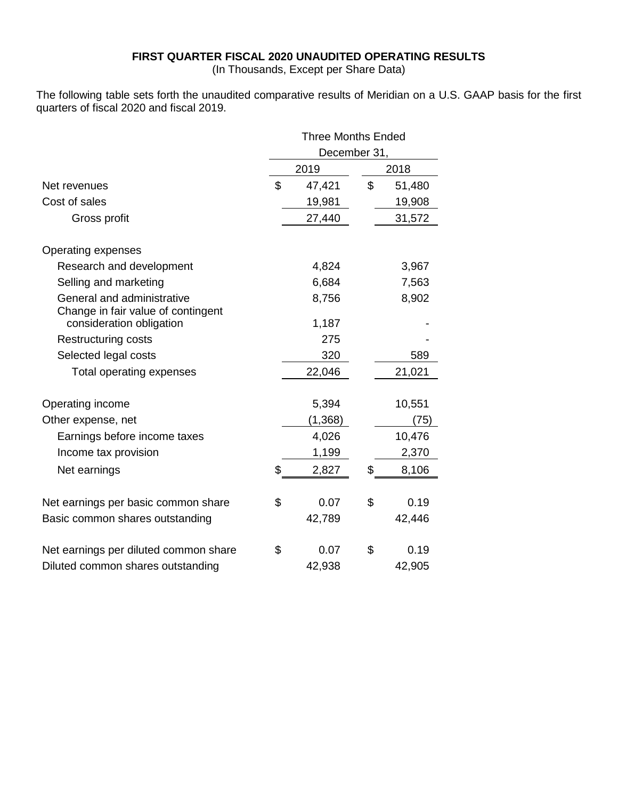## **FIRST QUARTER FISCAL 2020 UNAUDITED OPERATING RESULTS**

(In Thousands, Except per Share Data)

The following table sets forth the unaudited comparative results of Meridian on a U.S. GAAP basis for the first quarters of fiscal 2020 and fiscal 2019.

|                                       | <b>Three Months Ended</b> |          |    |        |  |
|---------------------------------------|---------------------------|----------|----|--------|--|
|                                       | December 31,              |          |    |        |  |
|                                       | 2019                      |          |    | 2018   |  |
| Net revenues                          | \$                        | 47,421   | \$ | 51,480 |  |
| Cost of sales                         |                           | 19,981   |    | 19,908 |  |
| Gross profit                          |                           | 27,440   |    | 31,572 |  |
| Operating expenses                    |                           |          |    |        |  |
| Research and development              |                           | 4,824    |    | 3,967  |  |
| Selling and marketing                 |                           | 6,684    |    | 7,563  |  |
| General and administrative            |                           | 8,756    |    | 8,902  |  |
| Change in fair value of contingent    |                           |          |    |        |  |
| consideration obligation              |                           | 1,187    |    |        |  |
| <b>Restructuring costs</b>            |                           | 275      |    |        |  |
| Selected legal costs                  |                           | 320      |    | 589    |  |
| Total operating expenses              |                           | 22,046   |    | 21,021 |  |
|                                       |                           |          |    |        |  |
| Operating income                      |                           | 5,394    |    | 10,551 |  |
| Other expense, net                    |                           | (1, 368) |    | (75)   |  |
| Earnings before income taxes          |                           | 4,026    |    | 10,476 |  |
| Income tax provision                  |                           | 1,199    |    | 2,370  |  |
| Net earnings                          | \$                        | 2,827    | \$ | 8,106  |  |
|                                       |                           |          |    |        |  |
| Net earnings per basic common share   | \$                        | 0.07     | \$ | 0.19   |  |
| Basic common shares outstanding       |                           | 42,789   |    | 42,446 |  |
| Net earnings per diluted common share | \$                        | 0.07     | \$ | 0.19   |  |
| Diluted common shares outstanding     |                           | 42,938   |    | 42,905 |  |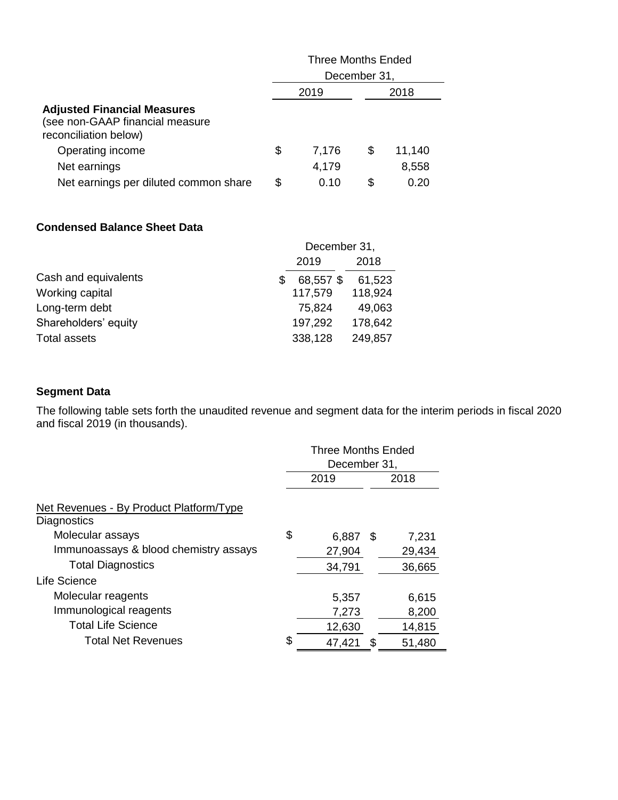|                                                                                                | <b>Three Months Ended</b> |      |        |  |  |
|------------------------------------------------------------------------------------------------|---------------------------|------|--------|--|--|
|                                                                                                | December 31,              |      |        |  |  |
|                                                                                                | 2019                      | 2018 |        |  |  |
| <b>Adjusted Financial Measures</b><br>(see non-GAAP financial measure<br>reconciliation below) |                           |      |        |  |  |
| Operating income                                                                               | \$<br>7,176               | \$   | 11,140 |  |  |
| Net earnings                                                                                   | 4,179                     |      | 8,558  |  |  |
| Net earnings per diluted common share                                                          | \$<br>0.10                | \$   | 0.20   |  |  |

### **Condensed Balance Sheet Data**

|                      | December 31, |         |  |  |
|----------------------|--------------|---------|--|--|
|                      | 2019         | 2018    |  |  |
| Cash and equivalents | 68,557 \$    | 61,523  |  |  |
| Working capital      | 117,579      | 118,924 |  |  |
| Long-term debt       | 75,824       | 49,063  |  |  |
| Shareholders' equity | 197,292      | 178,642 |  |  |
| Total assets         | 338,128      | 249,857 |  |  |

# **Segment Data**

The following table sets forth the unaudited revenue and segment data for the interim periods in fiscal 2020 and fiscal 2019 (in thousands).

|                                                               |      | <b>Three Months Ended</b><br>December 31, |      |        |  |
|---------------------------------------------------------------|------|-------------------------------------------|------|--------|--|
|                                                               | 2019 |                                           |      | 2018   |  |
| Net Revenues - By Product Platform/Type<br><b>Diagnostics</b> |      |                                           |      |        |  |
| Molecular assays                                              | \$   | 6,887                                     | - \$ | 7,231  |  |
| Immunoassays & blood chemistry assays                         |      | 27,904                                    |      | 29,434 |  |
| <b>Total Diagnostics</b>                                      |      | 34,791                                    |      | 36,665 |  |
| Life Science                                                  |      |                                           |      |        |  |
| Molecular reagents                                            |      | 5,357                                     |      | 6,615  |  |
| Immunological reagents                                        |      | 7,273                                     |      | 8,200  |  |
| <b>Total Life Science</b>                                     |      | 12,630                                    |      | 14,815 |  |
| <b>Total Net Revenues</b>                                     | \$   | 47,421                                    |      | 51,480 |  |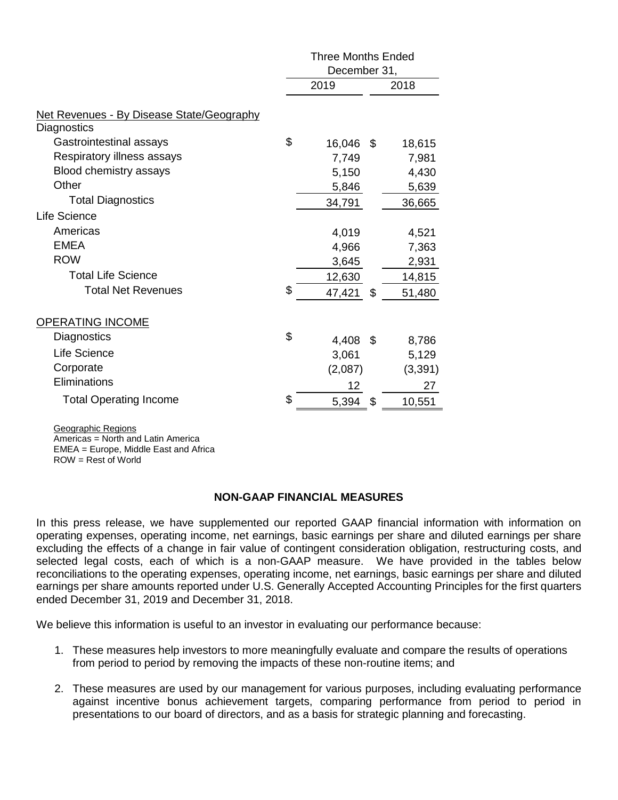|                                                          |      | <b>Three Months Ended</b><br>December 31, |      |          |  |
|----------------------------------------------------------|------|-------------------------------------------|------|----------|--|
|                                                          | 2019 |                                           |      | 2018     |  |
| Net Revenues - By Disease State/Geography<br>Diagnostics |      |                                           |      |          |  |
| Gastrointestinal assays                                  | \$   | 16,046                                    | - \$ | 18,615   |  |
| Respiratory illness assays                               |      | 7,749                                     |      | 7,981    |  |
| Blood chemistry assays                                   |      | 5,150                                     |      | 4,430    |  |
| Other                                                    |      | 5,846                                     |      | 5,639    |  |
| <b>Total Diagnostics</b>                                 |      | 34,791                                    |      | 36,665   |  |
| Life Science                                             |      |                                           |      |          |  |
| Americas                                                 |      | 4,019                                     |      | 4,521    |  |
| <b>EMEA</b>                                              |      | 4,966                                     |      | 7,363    |  |
| <b>ROW</b>                                               |      | 3,645                                     |      | 2,931    |  |
| <b>Total Life Science</b>                                |      | 12,630                                    |      | 14,815   |  |
| <b>Total Net Revenues</b>                                | \$   | 47,421                                    | \$   | 51,480   |  |
| <b>OPERATING INCOME</b>                                  |      |                                           |      |          |  |
| Diagnostics                                              | \$   | 4,408                                     | -\$  | 8,786    |  |
| Life Science                                             |      | 3,061                                     |      | 5,129    |  |
| Corporate                                                |      | (2,087)                                   |      | (3, 391) |  |
| Eliminations                                             |      | 12                                        |      | 27       |  |
| <b>Total Operating Income</b>                            | \$   | 5,394                                     | \$   | 10,551   |  |

Geographic Regions

Americas = North and Latin America EMEA = Europe, Middle East and Africa ROW = Rest of World

#### **NON-GAAP FINANCIAL MEASURES**

In this press release, we have supplemented our reported GAAP financial information with information on operating expenses, operating income, net earnings, basic earnings per share and diluted earnings per share excluding the effects of a change in fair value of contingent consideration obligation, restructuring costs, and selected legal costs, each of which is a non-GAAP measure. We have provided in the tables below reconciliations to the operating expenses, operating income, net earnings, basic earnings per share and diluted earnings per share amounts reported under U.S. Generally Accepted Accounting Principles for the first quarters ended December 31, 2019 and December 31, 2018.

We believe this information is useful to an investor in evaluating our performance because:

- 1. These measures help investors to more meaningfully evaluate and compare the results of operations from period to period by removing the impacts of these non-routine items; and
- 2. These measures are used by our management for various purposes, including evaluating performance against incentive bonus achievement targets, comparing performance from period to period in presentations to our board of directors, and as a basis for strategic planning and forecasting.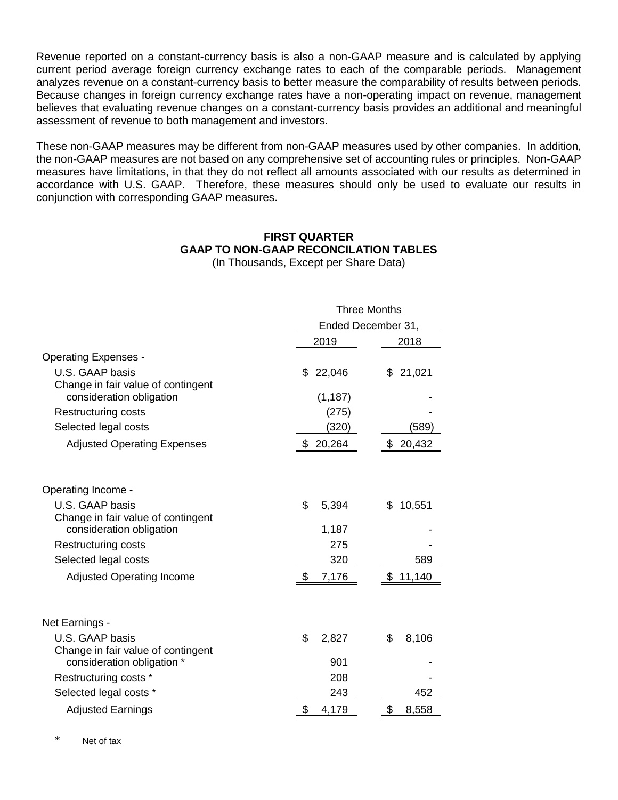Revenue reported on a constant-currency basis is also a non-GAAP measure and is calculated by applying current period average foreign currency exchange rates to each of the comparable periods. Management analyzes revenue on a constant-currency basis to better measure the comparability of results between periods. Because changes in foreign currency exchange rates have a non-operating impact on revenue, management believes that evaluating revenue changes on a constant-currency basis provides an additional and meaningful assessment of revenue to both management and investors.

These non-GAAP measures may be different from non-GAAP measures used by other companies. In addition, the non-GAAP measures are not based on any comprehensive set of accounting rules or principles. Non-GAAP measures have limitations, in that they do not reflect all amounts associated with our results as determined in accordance with U.S. GAAP. Therefore, these measures should only be used to evaluate our results in conjunction with corresponding GAAP measures.

|                                    | <b>Three Months</b> |               |  |  |
|------------------------------------|---------------------|---------------|--|--|
|                                    | Ended December 31,  |               |  |  |
|                                    | 2019                | 2018          |  |  |
| <b>Operating Expenses -</b>        |                     |               |  |  |
| U.S. GAAP basis                    | 22,046<br>\$.       | 21,021<br>\$. |  |  |
| Change in fair value of contingent |                     |               |  |  |
| consideration obligation           | (1, 187)            |               |  |  |
| <b>Restructuring costs</b>         | (275)               |               |  |  |
| Selected legal costs               | (320)               | (589)         |  |  |
| <b>Adjusted Operating Expenses</b> | \$20,264            | 20,432<br>\$  |  |  |
|                                    |                     |               |  |  |
| Operating Income -                 |                     |               |  |  |
| U.S. GAAP basis                    | \$<br>5,394         | 10,551<br>S   |  |  |
| Change in fair value of contingent | 1,187               |               |  |  |
| consideration obligation           |                     |               |  |  |
| <b>Restructuring costs</b>         | 275                 |               |  |  |
| Selected legal costs               | 320                 | 589           |  |  |
| <b>Adjusted Operating Income</b>   | \$<br>7,176         | 11,140<br>\$  |  |  |
|                                    |                     |               |  |  |
| Net Earnings -                     |                     |               |  |  |
| U.S. GAAP basis                    | \$<br>2,827         | 8,106<br>\$   |  |  |
| Change in fair value of contingent |                     |               |  |  |
| consideration obligation *         | 901                 |               |  |  |
| Restructuring costs *              | 208                 |               |  |  |
| Selected legal costs *             | 243                 | 452           |  |  |
| <b>Adjusted Earnings</b>           | \$<br>4,179         | \$<br>8,558   |  |  |

#### **FIRST QUARTER GAAP TO NON-GAAP RECONCILATION TABLES** (In Thousands, Except per Share Data)

Net of tax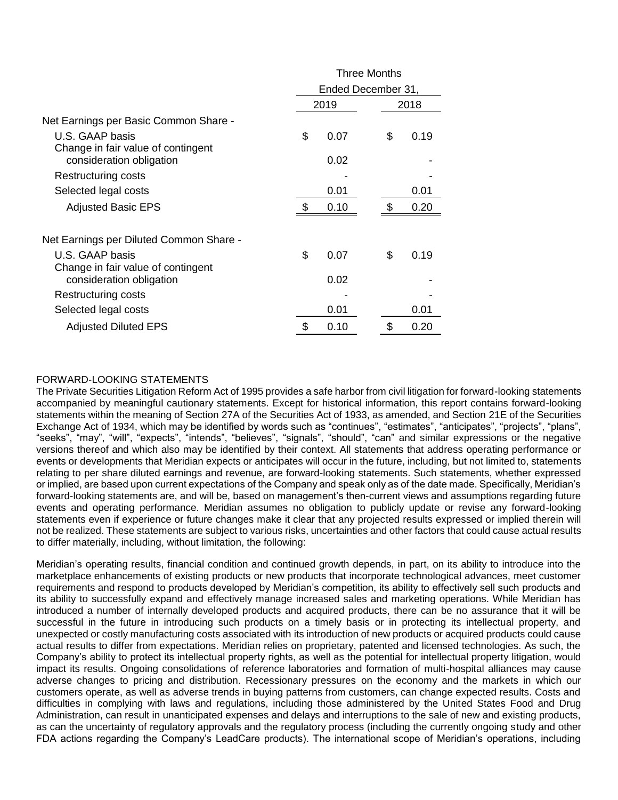|                                                       | <b>Three Months</b> |      |  |    |      |
|-------------------------------------------------------|---------------------|------|--|----|------|
|                                                       | Ended December 31,  |      |  |    |      |
|                                                       | 2019                |      |  |    | 2018 |
| Net Earnings per Basic Common Share -                 |                     |      |  |    |      |
| U.S. GAAP basis<br>Change in fair value of contingent | \$                  | 0.07 |  | \$ | 0.19 |
| consideration obligation                              |                     | 0.02 |  |    |      |
| Restructuring costs                                   |                     |      |  |    |      |
| Selected legal costs                                  |                     | 0.01 |  |    | 0.01 |
| <b>Adjusted Basic EPS</b>                             |                     | 0.10 |  |    | 0.20 |
| Net Earnings per Diluted Common Share -               |                     |      |  |    |      |
| U.S. GAAP basis<br>Change in fair value of contingent | \$                  | 0.07 |  | \$ | 0.19 |
| consideration obligation                              |                     | 0.02 |  |    |      |
| Restructuring costs                                   |                     |      |  |    |      |
| Selected legal costs                                  |                     | 0.01 |  |    | 0.01 |
| <b>Adjusted Diluted EPS</b>                           |                     | 0.10 |  |    | 0.20 |

#### FORWARD-LOOKING STATEMENTS

The Private Securities Litigation Reform Act of 1995 provides a safe harbor from civil litigation for forward-looking statements accompanied by meaningful cautionary statements. Except for historical information, this report contains forward-looking statements within the meaning of Section 27A of the Securities Act of 1933, as amended, and Section 21E of the Securities Exchange Act of 1934, which may be identified by words such as "continues", "estimates", "anticipates", "projects", "plans", "seeks", "may", "will", "expects", "intends", "believes", "signals", "should", "can" and similar expressions or the negative versions thereof and which also may be identified by their context. All statements that address operating performance or events or developments that Meridian expects or anticipates will occur in the future, including, but not limited to, statements relating to per share diluted earnings and revenue, are forward-looking statements. Such statements, whether expressed or implied, are based upon current expectations of the Company and speak only as of the date made. Specifically, Meridian's forward-looking statements are, and will be, based on management's then-current views and assumptions regarding future events and operating performance. Meridian assumes no obligation to publicly update or revise any forward-looking statements even if experience or future changes make it clear that any projected results expressed or implied therein will not be realized. These statements are subject to various risks, uncertainties and other factors that could cause actual results to differ materially, including, without limitation, the following:

Meridian's operating results, financial condition and continued growth depends, in part, on its ability to introduce into the marketplace enhancements of existing products or new products that incorporate technological advances, meet customer requirements and respond to products developed by Meridian's competition, its ability to effectively sell such products and its ability to successfully expand and effectively manage increased sales and marketing operations. While Meridian has introduced a number of internally developed products and acquired products, there can be no assurance that it will be successful in the future in introducing such products on a timely basis or in protecting its intellectual property, and unexpected or costly manufacturing costs associated with its introduction of new products or acquired products could cause actual results to differ from expectations. Meridian relies on proprietary, patented and licensed technologies. As such, the Company's ability to protect its intellectual property rights, as well as the potential for intellectual property litigation, would impact its results. Ongoing consolidations of reference laboratories and formation of multi-hospital alliances may cause adverse changes to pricing and distribution. Recessionary pressures on the economy and the markets in which our customers operate, as well as adverse trends in buying patterns from customers, can change expected results. Costs and difficulties in complying with laws and regulations, including those administered by the United States Food and Drug Administration, can result in unanticipated expenses and delays and interruptions to the sale of new and existing products, as can the uncertainty of regulatory approvals and the regulatory process (including the currently ongoing study and other FDA actions regarding the Company's LeadCare products). The international scope of Meridian's operations, including